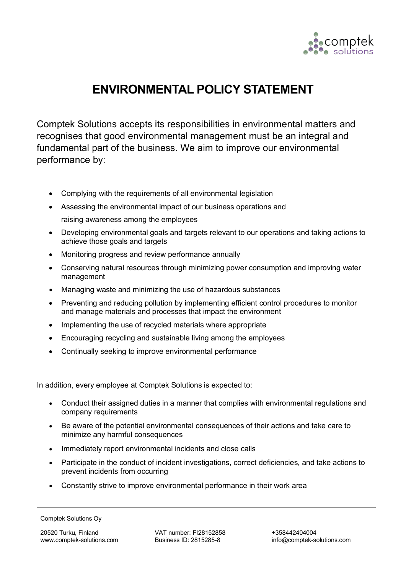

## **ENVIRONMENTAL POLICY STATEMENT**

Comptek Solutions accepts its responsibilities in environmental matters and recognises that good environmental management must be an integral and fundamental part of the business. We aim to improve our environmental performance by:

- Complying with the requirements of all environmental legislation
- Assessing the environmental impact of our business operations and raising awareness among the employees
- Developing environmental goals and targets relevant to our operations and taking actions to achieve those goals and targets
- Monitoring progress and review performance annually
- Conserving natural resources through minimizing power consumption and improving water management
- Managing waste and minimizing the use of hazardous substances
- Preventing and reducing pollution by implementing efficient control procedures to monitor and manage materials and processes that impact the environment
- Implementing the use of recycled materials where appropriate
- Encouraging recycling and sustainable living among the employees
- Continually seeking to improve environmental performance

In addition, every employee at Comptek Solutions is expected to:

- Conduct their assigned duties in a manner that complies with environmental regulations and company requirements
- Be aware of the potential environmental consequences of their actions and take care to minimize any harmful consequences
- Immediately report environmental incidents and close calls
- Participate in the conduct of incident investigations, correct deficiencies, and take actions to prevent incidents from occurring
- Constantly strive to improve environmental performance in their work area

Comptek Solutions Oy